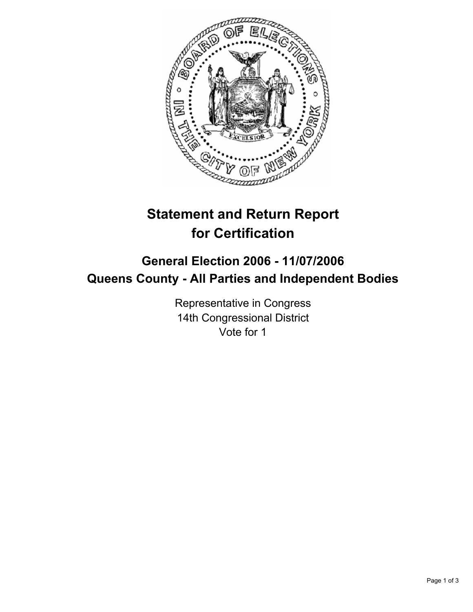

# **Statement and Return Report for Certification**

## **General Election 2006 - 11/07/2006 Queens County - All Parties and Independent Bodies**

Representative in Congress 14th Congressional District Vote for 1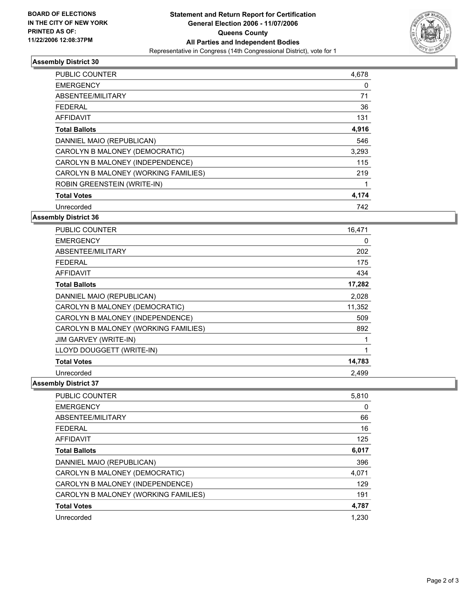

### **Assembly District 30**

| PUBLIC COUNTER                       | 4,678 |
|--------------------------------------|-------|
| <b>EMERGENCY</b>                     | 0     |
| ABSENTEE/MILITARY                    | 71    |
| <b>FEDERAL</b>                       | 36    |
| AFFIDAVIT                            | 131   |
| <b>Total Ballots</b>                 | 4,916 |
| DANNIEL MAIO (REPUBLICAN)            | 546   |
| CAROLYN B MALONEY (DEMOCRATIC)       | 3,293 |
| CAROLYN B MALONEY (INDEPENDENCE)     | 115   |
| CAROLYN B MALONEY (WORKING FAMILIES) | 219   |
| ROBIN GREENSTEIN (WRITE-IN)          |       |
| <b>Total Votes</b>                   | 4,174 |
| Unrecorded                           | 742   |

#### **Assembly District 36**

| <b>PUBLIC COUNTER</b>                | 16,471 |
|--------------------------------------|--------|
| <b>EMERGENCY</b>                     | 0      |
| ABSENTEE/MILITARY                    | 202    |
| <b>FEDERAL</b>                       | 175    |
| <b>AFFIDAVIT</b>                     | 434    |
| <b>Total Ballots</b>                 | 17,282 |
| DANNIEL MAIO (REPUBLICAN)            | 2,028  |
| CAROLYN B MALONEY (DEMOCRATIC)       | 11,352 |
| CAROLYN B MALONEY (INDEPENDENCE)     | 509    |
| CAROLYN B MALONEY (WORKING FAMILIES) | 892    |
| JIM GARVEY (WRITE-IN)                |        |
| LLOYD DOUGGETT (WRITE-IN)            |        |
| <b>Total Votes</b>                   | 14,783 |
| Unrecorded                           | 2,499  |

#### **Assembly District 37**

| <b>PUBLIC COUNTER</b>                | 5,810 |
|--------------------------------------|-------|
| <b>EMERGENCY</b>                     | 0     |
| ABSENTEE/MILITARY                    | 66    |
| <b>FEDERAL</b>                       | 16    |
| <b>AFFIDAVIT</b>                     | 125   |
| <b>Total Ballots</b>                 | 6,017 |
| DANNIEL MAIO (REPUBLICAN)            | 396   |
| CAROLYN B MALONEY (DEMOCRATIC)       | 4,071 |
| CAROLYN B MALONEY (INDEPENDENCE)     | 129   |
| CAROLYN B MALONEY (WORKING FAMILIES) | 191   |
| <b>Total Votes</b>                   | 4,787 |
| Unrecorded                           | 1.230 |